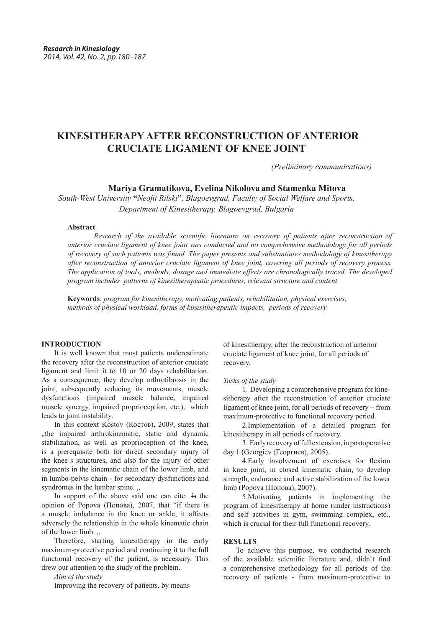# **KINESITHERAPY AFTER RECONSTRUCTION OF ANTERIOR CRUCIATE LIGAMENT OF KNEE JOINT**

 *(Preliminary communications)*

 **Mariya Gramatikova, Evelina Nikolova and Stamenka Mitova**

*South-West University* **"***Neofit Rilski***"***, Blagoevgrad, Faculty of Social Welfare and Sports, Department of Kinesitherapy, Blagoevgrad, Bulgaria*

## **Аbstract**

*Research of the available scientific literature on recovery of patients after reconstruction of anterior cruciate ligament of knee joint was conducted and no comprehensive methodology for all periods of recovery of such patients was found. The paper presents and substantiates methodology of kinesitherapy after reconstruction of anterior cruciate ligament of knee joint, covering all periods of recovery process. The application of tools, methods, dosage and immediate effects are chronologically traced. The developed program includes patterns of kinesitherapeutic procedures, relevant structure and content.*

**Keywords**: *program for kinesitherapy, motivating patients, rehabilitation, physical exercises, methods of physical workload, forms of kinesitherapeutic impacts, periods of recovery*

#### **INTRODUCTION**

It is well known that most patients underestimate the recovery after the reconstruction of anterior cruciate ligament and limit it to 10 or 20 days rehabilitation. As a consequence, they develop arthrofibrosis in the joint, subsequently reducing its movements, muscle dysfunctions (impaired muscle balance, impaired muscle synergy, impaired proprioception, etc.), which leads to joint instability.

In this context Kostov (Костов), 2009, states that "the impaired arthrokinematic, static and dynamic stabilization, as well as proprioception of the knee, is a prerequisite both for direct secondary injury of the knee`s structures, and also for the injury of other segments in the kinematic chain of the lower limb, and in lumbo-pelvis chain - for secondary dysfunctions and syndromes in the lumbar spine.  $\ldots$ 

In support of the above said one can cite is the opinion of Popova (Попова), 2007, that "if there is a muscle imbalance in the knee or ankle, it affects adversely the relationship in the whole kinematic chain of the lower limb. ...

Therefore, starting kinesitherapy in the early maximum-protective period and continuing it to the full functional recovery of the patient, is necessary. This drew our attention to the study of the problem.

*Aim of the study*

Improving the recovery of patients, by means

of kinesitherapy, after the reconstruction of anterior cruciate ligament of knee joint, for all periods of recovery.

*Tasks of the study*

1. Developing a comprehensive program for kinesitherapy after the reconstruction of anterior cruciate ligament of knee joint, for all periods of recovery – from maximum-protective to functional recovery period.

2.Implementation of a detailed program for kinesitherapy in all periods of recovery.

3. Early recovery of full extension, in postoperative day 1 (Georgiev (Георгиев), 2005).

4.Early involvement of exercises for flexion in knee joint, in closed kinematic chain, to develop strength, endurance and active stabilization of the lower limb (Popova (Попова), 2007).

5.Motivating patients in implementing the program of kinesitherapy at home (under instructions) and self activities in gym, swimming complex, etc., which is crucial for their full functional recovery.

#### **RESULTS**

To achieve this purpose, we conducted research of the available scientific literature and, didn`t find a comprehensive methodology for all periods of the recovery of patients - from maximum-protective to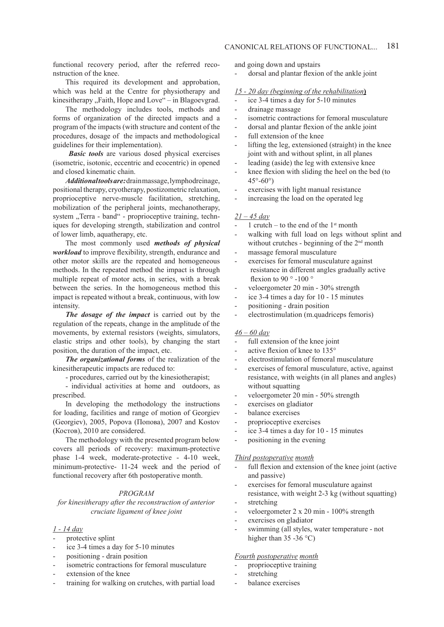functional recovery period, after the referred reconstruction of the knee.

This required its development and approbation, which was held at the Centre for physiotherapy and kinesitherapy "Faith, Hope and Love" – in Blagoevgrad.

The methodology includes tools, methods and forms of organization of the directed impacts and a program of the impacts (with structure and content of the procedures, dosage of the impacts and methodological guidelines for their implementation).

*Basic tools* are various dosed physical exercises (isometric, isotonic, eccentric and ecocentric) in opened and closed kinematic chain.

*Additional tools are:* drain massage, lymphodreinage, positional therapy, cryotherapy, postizometric relaxation, proprioceptive nerve-muscle facilitation, stretching, mobilization of the peripheral joints, mechanotherapy, system "Terra - band" - proprioceptive training, techniques for developing strength, stabilization and control of lower limb, aquatherapy, etc.

The most commonly used *methods of physical workload* to improve flexibility, strength, endurance and other motor skills are the repeated and homogeneous methods. In the repeated method the impact is through multiple repeat of motor acts, in series, with a break between the series. In the homogeneous method this impact is repeated without a break, continuous, with low intensity.

*The dosage of the impact* is carried out by the regulation of the repeats, change in the amplitude of the movements, by external resistors (weights, simulators, elastic strips and other tools), by changing the start position, the duration of the impact, etc.

*The organizational forms* of the realization of the kinesitherapeutic impacts are reduced to:

- procedures, carried out by the kinesiotherapist;

- individual activities at home and outdoors, as prescribed.

In developing the methodology the instructions for loading, facilities and range of motion of Georgiev (Georgiev), 2005, Popova (Попова), 2007 and Kostov (Костов), 2010 are considered.

The methodology with the presented program below covers all periods of recovery: maximum-protective phase 1-4 week, moderate-protective - 4-10 week, minimum-protective- 11-24 week and the period of functional recovery after 6th postoperative month.

#### *PROGRAM*

*for kinesitherapy after the reconstruction of anterior cruciate ligament of knee joint* 

#### *1 - 14 day*

- protective splint
- ice 3-4 times a day for 5-10 minutes
- positioning drain position
- isometric contractions for femoral musculature
- extension of the knee
- training for walking on crutches, with partial load

and going down and upstairs

- dorsal and plantar flexion of the ankle joint

## *15 - 20 day (beginning of the rehabilitation***)**

- ice 3-4 times a day for 5-10 minutes
- drainage massage
- isometric contractions for femoral musculature
- dorsal and plantar flexion of the ankle joint
- full extension of the knee
- lifting the leg, extensioned (straight) in the knee joint with and without splint, in all planes
- leading (aside) the leg with extensive knee
- knee flexion with sliding the heel on the bed (to  $45^\circ - 60^\circ$
- exercises with light manual resistance
- increasing the load on the operated leg

#### *21 – 45 day*

- 1 crutch to the end of the  $1<sup>st</sup>$  month
- walking with full load on legs without splint and without crutches - beginning of the 2<sup>nd</sup> month
- massage femoral musculature
- exercises for femoral musculature against resistance in different angles gradually active flexion to 90 ° -100 °
- veloergometer 20 min 30% strength
- ice 3-4 times a day for 10 15 minutes
- positioning drain position
- electrostimulation (m.quadriceps femoris)

#### *46 – 60 day*

- full extension of the knee joint
- active flexion of knee to 135°
- electrostimulation of femoral musculature
- exercises of femoral musculature, active, against resistance, with weights (in all planes and angles) without squatting
- veloergometer 20 min 50% strength
- exercises on gladiator
- balance exercises
- proprioceptive exercises
- ice 3-4 times a day for 10 15 minutes
- positioning in the evening

#### *Third postoperative month*

- full flexion and extension of the knee joint (active and passive)
- exercises for femoral musculature against resistance, with weight 2-3 kg (without squatting) stretching
- 
- veloergometer 2 x 20 min 100% strength
- exercises on gladiator
- swimming (all styles, water temperature not higher than  $35 - 36$  °C)

#### *Fourth postoperative month*

- proprioceptive training
- stretching
- balance exercises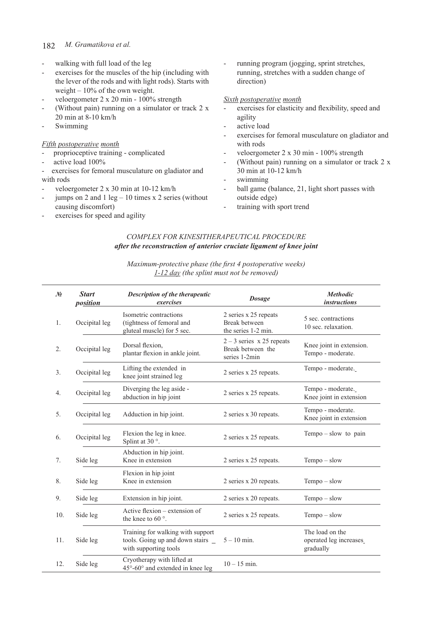#### 182  *M. Gramatikova et al.*

- walking with full load of the leg
- exercises for the muscles of the hip (including with the lever of the rods and with light rods). Starts with weight – 10% of the own weight.
- veloergometer 2 x 20 min 100% strength
- (Without pain) running on a simulator or track  $2 \times$ 20 min at 8-10 km/h
- **Swimming**

# *Fifth postoperative month*

- proprioceptive training complicated
- active load 100%
- exercises for femoral musculature on gladiator and with rods
- veloergometer 2 x 30 min at 10-12 km/h
- jumps on 2 and 1 leg  $-10$  times x 2 series (without causing discomfort)
- exercises for speed and agility

running program (jogging, sprint stretches, running, stretches with a sudden change of direction)

#### *Sixth postoperative month*

- exercises for elasticity and flexibility, speed and agility
- active load
- exercises for femoral musculature on gladiator and with rods
- veloergometer 2 x 30 min 100% strength
- (Without pain) running on a simulator or track  $2 \times$ 30 min at 10-12 km/h
- swimming
- ball game (balance, 21, light short passes with outside edge)
- training with sport trend

# *COMPLEX FOR KINESITHERAPEUTICAL PROCEDURE after the reconstruction of anterior cruciate ligament of knee joint*

# *Maximum-protective phase (the first 4 postoperative weeks) 1-12 day (the splint must not be removed)*

| $\mathcal{N}$ | <b>Start</b><br><i>position</i> | Description of the therapeutic<br>exercises                                                     | <b>Dosage</b>                                                     | <b>Methodic</b><br><i>instructions</i>                 |
|---------------|---------------------------------|-------------------------------------------------------------------------------------------------|-------------------------------------------------------------------|--------------------------------------------------------|
| 1.            | Occipital leg                   | Isometric contractions<br>(tightness of femoral and<br>gluteal muscle) for 5 sec.               | 2 series x 25 repeats<br>Break between<br>the series 1-2 min.     | 5 sec. contractions<br>10 sec. relaxation.             |
| 2.            | Occipital leg                   | Dorsal flexion.<br>plantar flexion in ankle joint.                                              | $2 - 3$ series x 25 repeats<br>Break between the<br>series 1-2min | Knee joint in extension.<br>Tempo - moderate.          |
| 3.            | Occipital leg                   | Lifting the extended in<br>knee joint strained leg                                              | 2 series x 25 repeats.                                            | Tempo - moderate.                                      |
| 4.            | Occipital leg                   | Diverging the leg aside -<br>abduction in hip joint                                             | 2 series x 25 repeats.                                            | Tempo - moderate.<br>Knee joint in extension           |
| 5.            | Occipital leg                   | Adduction in hip joint.                                                                         | 2 series x 30 repeats.                                            | Tempo - moderate.<br>Knee joint in extension           |
| 6.            | Occipital leg                   | Flexion the leg in knee.<br>Splint at 30 °.                                                     | 2 series x 25 repeats.                                            | $Tempo - slow$ to pain                                 |
| 7.            | Side leg                        | Abduction in hip joint.<br>Knee in extension                                                    | 2 series x 25 repeats.                                            | $Tempo - slow$                                         |
| 8.            | Side leg                        | Flexion in hip joint<br>Knee in extension                                                       | 2 series x 20 repeats.                                            | $Tempo - slow$                                         |
| 9.            | Side leg                        | Extension in hip joint.                                                                         | 2 series x 20 repeats.                                            | $Tempo - slow$                                         |
| 10.           | Side leg                        | Active flexion – extension of<br>the knee to 60 $\degree$ .                                     | 2 series x 25 repeats.                                            | $Tempo - slow$                                         |
| 11.           | Side leg                        | Training for walking with support<br>tools. Going up and down stairs _<br>with supporting tools | $5 - 10$ min.                                                     | The load on the<br>operated leg increases<br>gradually |
| 12.           | Side leg                        | Cryotherapy with lifted at<br>$45^{\circ}$ -60 $^{\circ}$ and extended in knee leg              | $10 - 15$ min.                                                    |                                                        |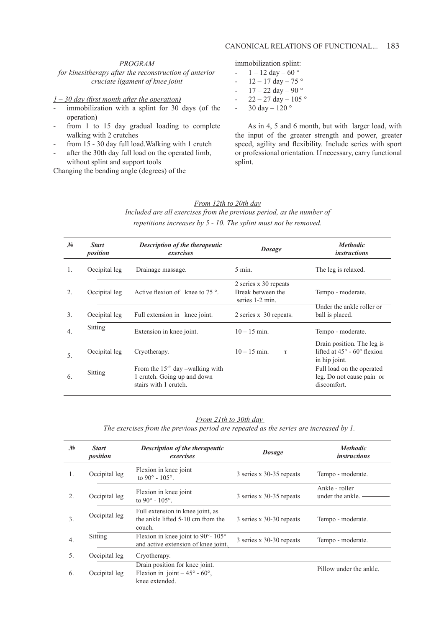# *PROGRAM*

*for kinesitherapy after the reconstruction of anterior cruciate ligament of knee joint*

## *1 – 30 day (first month after the operation)*

- immobilization with a splint for 30 days (of the operation)
- from 1 to 15 day gradual loading to complete walking with 2 crutches
- from 15 30 day full load. Walking with 1 crutch
- after the 30th day full load on the operated limb, without splint and support tools

Changing the bending angle (degrees) of the

immobilization splint:

- $-1 12 \text{ day} 60^{\circ}$
- $12 17$  day  $75$  °
- $17 22 \text{ day} 90^{\circ}$
- $-22 27 \text{ day} 105^{\circ}$
- 30 day 120  $^{\circ}$

As in 4, 5 and 6 month, but with larger load, with the input of the greater strength and power, greater speed, agility and flexibility. Include series with sport or professional orientation. If necessary, carry functional splint.

# *From 12th to 20th day*

*Included are all exercises from the previous period, as the number of repetitions increases by 5 - 10. The splint must not be removed.*

| $\mathcal{N}$ o | <b>Start</b><br>position | <b>Description of the therapeutic</b><br>exercises                                         | <b>Dosage</b>                                                 | <b>Methodic</b><br><i>instructions</i>                                                    |
|-----------------|--------------------------|--------------------------------------------------------------------------------------------|---------------------------------------------------------------|-------------------------------------------------------------------------------------------|
| $\mathbf{1}$ .  | Occipital leg            | Drainage massage.                                                                          | $5 \text{ min.}$                                              | The leg is relaxed.                                                                       |
| $\mathfrak{D}$  | Occipital leg            | Active flexion of knee to $75^\circ$ .                                                     | 2 series x 30 repeats<br>Break between the<br>series 1-2 min. | Tempo - moderate.                                                                         |
| 3.              | Occipital leg            | Full extension in knee joint.                                                              | 2 series x 30 repeats.                                        | Under the ankle roller or<br>ball is placed.                                              |
| 4.              | Sitting                  | Extension in knee joint.                                                                   | $10 - 15$ min.                                                | Tempo - moderate.                                                                         |
| 5.              | Occipital leg            | Cryotherapy.                                                                               | $10 - 15$ min.<br>$\mathbf T$                                 | Drain position. The leg is<br>lifted at $45^\circ$ - 60 $^\circ$ flexion<br>in hip joint. |
| 6.              | Sitting                  | From the $15-th$ day -walking with<br>1 crutch. Going up and down<br>stairs with 1 crutch. |                                                               | Full load on the operated<br>leg. Do not cause pain or<br>discomfort.                     |

## *From 21th to 30th day*

*The exercises from the previous period are repeated as the series are increased by 1.*

| $\mathcal{N}$    | <b>Start</b><br>position | <b>Description of the therapeutic</b><br>exercises                                             | <b>Dosage</b>            | <b>Methodic</b><br><i>instructions</i> |
|------------------|--------------------------|------------------------------------------------------------------------------------------------|--------------------------|----------------------------------------|
| $\mathbf{1}$ .   | Occipital leg            | Flexion in knee joint<br>to 90 $^{\circ}$ - 105 $^{\circ}$ .                                   | 3 series x 30-35 repeats | Tempo - moderate.                      |
| $\mathfrak{D}$   | Occipital leg            | Flexion in knee joint<br>to 90 $^{\circ}$ - 105 $^{\circ}$ .                                   | 3 series x 30-35 repeats | Ankle - roller<br>under the ankle.     |
| 3.               | Occipital leg            | Full extension in knee joint, as<br>the ankle lifted 5-10 cm from the<br>couch.                | 3 series x 30-30 repeats | Tempo - moderate.                      |
| $\overline{4}$ . | Sitting                  | Flexion in knee joint to 90 $^{\circ}$ - 105 $^{\circ}$<br>and active extension of knee joint. | 3 series x 30-30 repeats | Tempo - moderate.                      |
| 5.               | Occipital leg            | Cryotherapy.                                                                                   |                          |                                        |
| 6.               | Occipital leg            | Drain position for knee joint.<br>Flexion in joint $-45^{\circ}$ - 60°,<br>knee extended.      |                          | Pillow under the ankle.                |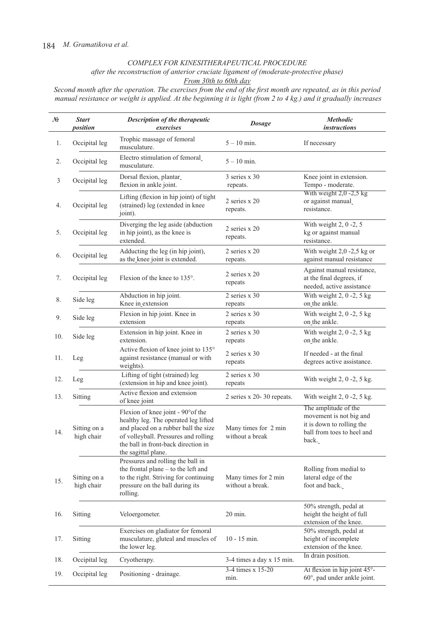# *COMPLEX FOR KINESITHERAPEUTICAL PROCEDURE*

*after the reconstruction of anterior cruciate ligament of (moderate-protective phase)*

*From 30th to 60th day*

*Second month after the operation. The exercises from the end of the first month are repeated, as in this period manual resistance or weight is applied. At the beginning it is light (from 2 to 4 kg.) and it gradually increases*

| No  | <b>Start</b><br>position   | Description of the therapeutic<br>exercises                                                                                                                                                                              | <b>Dosage</b>                            | <b>Methodic</b><br><i>instructions</i>                                                                              |
|-----|----------------------------|--------------------------------------------------------------------------------------------------------------------------------------------------------------------------------------------------------------------------|------------------------------------------|---------------------------------------------------------------------------------------------------------------------|
| 1.  | Occipital leg              | Trophic massage of femoral<br>musculature.                                                                                                                                                                               | $5 - 10$ min.                            | If necessary                                                                                                        |
| 2.  | Occipital leg              | Electro stimulation of femoral<br>musculature.                                                                                                                                                                           | $5 - 10$ min.                            |                                                                                                                     |
| 3   | Occipital leg              | Dorsal flexion, plantar_<br>flexion in ankle joint.                                                                                                                                                                      | 3 series x 30<br>repeats.                | Knee joint in extension.<br>Tempo - moderate.                                                                       |
| 4.  | Occipital leg              | Lifting (flexion in hip joint) of tight<br>(strained) leg (extended in knee<br>joint).                                                                                                                                   | 2 series x 20<br>repeats.                | With weight $2,0 - 2,5$ kg<br>or against manual<br>resistance.                                                      |
| 5.  | Occipital leg              | Diverging the leg aside (abduction<br>in hip joint), as the knee is<br>extended.                                                                                                                                         | 2 series x 20<br>repeats.                | With weight $2, 0 -2, 5$<br>kg or against manual<br>resistance.                                                     |
| 6.  | Occipital leg              | Adducting the leg (in hip joint),<br>as the knee joint is extended.                                                                                                                                                      | 2 series x 20<br>repeats.                | With weight $2,0 -2,5$ kg or<br>against manual resistance                                                           |
| 7.  | Occipital leg              | Flexion of the knee to 135°.                                                                                                                                                                                             | 2 series x 20<br>repeats                 | Against manual resistance,<br>at the final degrees, if<br>needed, active assistance                                 |
| 8.  | Side leg                   | Abduction in hip joint.<br>Knee in_extension                                                                                                                                                                             | 2 series $x$ 30<br>repeats               | With weight $2, 0 -2, 5$ kg<br>on_the ankle.                                                                        |
| 9.  | Side leg                   | Flexion in hip joint. Knee in<br>extension                                                                                                                                                                               | 2 series x 30<br>repeats                 | With weight $2, 0 -2, 5$ kg<br>on the ankle.                                                                        |
| 10. | Side leg                   | Extension in hip joint. Knee in<br>extension.                                                                                                                                                                            | 2 series x 30<br>repeats                 | With weight $2, 0 -2, 5$ kg<br>on the ankle.                                                                        |
| 11. | Leg                        | Active flexion of knee joint to 135°<br>against resistance (manual or with<br>weights).                                                                                                                                  | 2 series $x$ 30<br>repeats               | If needed - at the final<br>degrees active assistance.                                                              |
| 12. | Leg                        | Lifting of tight (strained) leg<br>(extension in hip and knee joint).                                                                                                                                                    | 2 series x 30<br>repeats                 | With weight $2$ , $0 - 2$ , $5$ kg.                                                                                 |
| 13. | Sitting                    | Active flexion and extension<br>of knee joint                                                                                                                                                                            | 2 series x 20-30 repeats.                | With weight $2$ , $0 - 2$ , $5$ kg.                                                                                 |
| 14. | Sitting on a<br>high chair | Flexion of knee joint - 90° of the<br>healthy leg. The operated leg lifted<br>and placed on a rubber ball the size<br>of volleyball. Pressures and rolling<br>the ball in front-back direction in<br>the sagittal plane. | Many times for 2 min<br>without a break  | The amplitude of the<br>movement is not big and<br>it is down to rolling the<br>ball from toes to heel and<br>back. |
| 15. | Sitting on a<br>high chair | Pressures and rolling the ball in<br>the frontal plane - to the left and<br>to the right. Striving for continuing<br>pressure on the ball during its<br>rolling.                                                         | Many times for 2 min<br>without a break. | Rolling from medial to<br>lateral edge of the<br>foot and back.                                                     |
| 16. | Sitting                    | Veloergometer.                                                                                                                                                                                                           | 20 min.                                  | 50% strength, pedal at<br>height the height of full<br>extension of the knee.                                       |
| 17. | Sitting                    | Exercises on gladiator for femoral<br>musculature, gluteal and muscles of<br>the lower leg.                                                                                                                              | $10 - 15$ min.                           | 50% strength, pedal at<br>height of incomplete<br>extension of the knee.                                            |
| 18. | Occipital leg              | Cryotherapy.                                                                                                                                                                                                             | 3-4 times a day x 15 min.                | In drain position.                                                                                                  |
| 19. | Occipital leg              | Positioning - drainage.                                                                                                                                                                                                  | 3-4 times x 15-20<br>min.                | At flexion in hip joint 45°-<br>60°, pad under ankle joint.                                                         |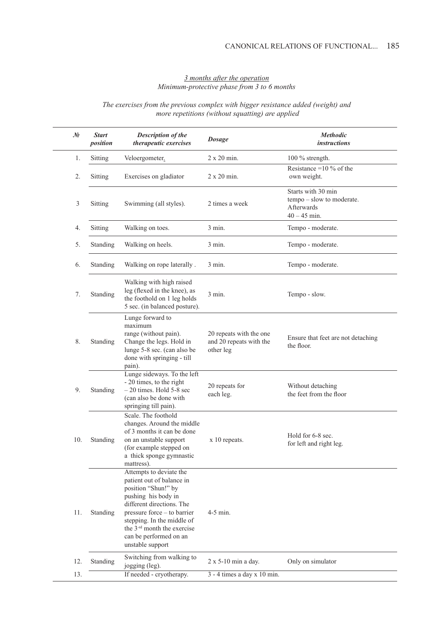# *3 months after the operation Minimum-protective phase from 3 to 6 months*

# *The exercises from the previous complex with bigger resistance added (weight) and more repetitions (without squatting) are applied*

| No  | <b>Start</b><br>position | <b>Description of the</b><br>therapeutic exercises                                                                                                                                                                                                                                    | <b>Dosage</b>                                                   | <b>Methodic</b><br><i>instructions</i>                                                 |
|-----|--------------------------|---------------------------------------------------------------------------------------------------------------------------------------------------------------------------------------------------------------------------------------------------------------------------------------|-----------------------------------------------------------------|----------------------------------------------------------------------------------------|
| 1.  | Sitting                  | Veloergometer.                                                                                                                                                                                                                                                                        | 2 x 20 min.                                                     | $100\%$ strength.                                                                      |
| 2.  | Sitting                  | Exercises on gladiator                                                                                                                                                                                                                                                                | 2 x 20 min.                                                     | Resistance = $10\%$ of the<br>own weight.                                              |
| 3   | Sitting                  | Swimming (all styles).                                                                                                                                                                                                                                                                | 2 times a week                                                  | Starts with 30 min<br>tempo - slow to moderate.<br><b>Afterwards</b><br>$40 - 45$ min. |
| 4.  | Sitting                  | Walking on toes.                                                                                                                                                                                                                                                                      | $3$ min.                                                        | Tempo - moderate.                                                                      |
| 5.  | Standing                 | Walking on heels.                                                                                                                                                                                                                                                                     | $3 \text{ min}$ .                                               | Tempo - moderate.                                                                      |
| 6.  | Standing                 | Walking on rope laterally.                                                                                                                                                                                                                                                            | $3 \text{ min}$ .                                               | Tempo - moderate.                                                                      |
| 7.  | Standing                 | Walking with high raised<br>leg (flexed in the knee), as<br>the foothold on 1 leg holds<br>5 sec. (in balanced posture).                                                                                                                                                              | $3$ min.                                                        | Tempo - slow.                                                                          |
| 8.  | Standing                 | Lunge forward to<br>maximum<br>range (without pain).<br>Change the legs. Hold in<br>lunge 5-8 sec. (can also be<br>done with springing - till<br>pain).                                                                                                                               | 20 repeats with the one<br>and 20 repeats with the<br>other leg | Ensure that feet are not detaching<br>the floor.                                       |
| 9.  | Standing                 | Lunge sideways. To the left<br>- 20 times, to the right<br>$-20$ times. Hold 5-8 sec<br>(can also be done with<br>springing till pain).                                                                                                                                               | 20 repeats for<br>each leg.                                     | Without detaching<br>the feet from the floor                                           |
| 10. | Standing                 | Scale. The foothold<br>changes. Around the middle<br>of 3 months it can be done<br>on an unstable support<br>(for example stepped on<br>a thick sponge gymnastic<br>mattress).                                                                                                        | x 10 repeats.                                                   | Hold for 6-8 sec.<br>for left and right leg.                                           |
| 11. | Standing                 | Attempts to deviate the<br>patient out of balance in<br>position "Shun!" by<br>pushing his body in<br>different directions. The<br>pressure force – to barrier<br>stepping. In the middle of<br>the 3 <sup>-rd</sup> month the exercise<br>can be performed on an<br>unstable support | $4-5$ min.                                                      |                                                                                        |
| 12. | Standing                 | Switching from walking to<br>jogging (leg).                                                                                                                                                                                                                                           | 2 x 5-10 min a day.                                             | Only on simulator                                                                      |
| 13. |                          | If needed - cryotherapy.                                                                                                                                                                                                                                                              | $3 - 4$ times a day x 10 min.                                   |                                                                                        |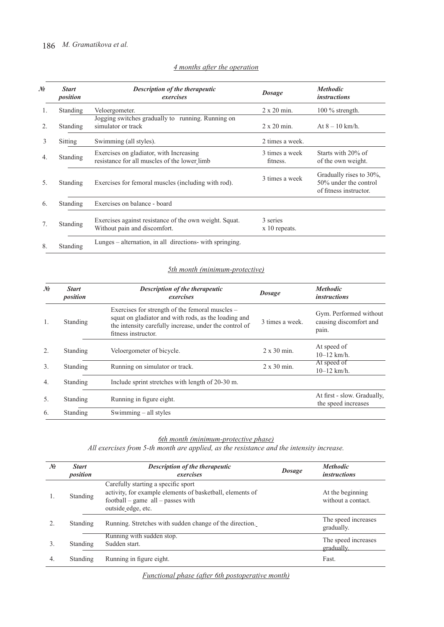| No               | <b>Start</b><br>position | <b>Description of the therapeutic</b><br>exercises                                      | <b>Dosage</b>              | <b>Methodic</b><br><i>instructions</i>                                     |
|------------------|--------------------------|-----------------------------------------------------------------------------------------|----------------------------|----------------------------------------------------------------------------|
| 1.               | Standing                 | Veloergometer.                                                                          | $2 \times 20$ min.         | $100\%$ strength.                                                          |
| $\overline{2}$ . | <b>Standing</b>          | Jogging switches gradually to running. Running on<br>simulator or track                 | $2 \times 20$ min.         | At $8 - 10$ km/h.                                                          |
| 3                | Sitting                  | Swimming (all styles).                                                                  | 2 times a week.            |                                                                            |
| 4.               | Standing                 | Exercises on gladiator, with Increasing<br>resistance for all muscles of the lower limb | 3 times a week<br>fitness. | Starts with 20% of<br>of the own weight.                                   |
| .5.              | Standing                 | Exercises for femoral muscles (including with rod).                                     | 3 times a week             | Gradually rises to 30%,<br>50% under the control<br>of fitness instructor. |
| 6.               | Standing                 | Exercises on balance - board                                                            |                            |                                                                            |
| $7_{\cdot}$      | Standing                 | Exercises against resistance of the own weight. Squat.<br>Without pain and discomfort.  | 3 series<br>x 10 repeats.  |                                                                            |
| 8.               | Standing                 | Lunges – alternation, in all directions- with springing.                                |                            |                                                                            |

# *4 months after the operation*

# *5th month (minimum-protective)*

| $\mathcal{N}$    | <b>Start</b><br>position | Description of the therapeutic<br>exercises                                                                                                                                              | <b>Dosage</b>      | <b>Methodic</b><br><i>instructions</i>                    |
|------------------|--------------------------|------------------------------------------------------------------------------------------------------------------------------------------------------------------------------------------|--------------------|-----------------------------------------------------------|
| $\mathbf{1}$ .   | Standing                 | Exercises for strength of the femoral muscles –<br>squat on gladiator and with rods, as the loading and<br>the intensity carefully increase, under the control of<br>fitness instructor. | 3 times a week.    | Gym. Performed without<br>causing discomfort and<br>pain. |
| 2.               | Standing                 | Veloergometer of bicycle.                                                                                                                                                                | $2 \times 30$ min. | At speed of<br>$10-12$ km/h.                              |
| 3.               | Standing                 | Running on simulator or track.                                                                                                                                                           | $2 \times 30$ min. | At speed of<br>$10-12$ km/h.                              |
| $\overline{4}$ . | Standing                 | Include sprint stretches with length of 20-30 m.                                                                                                                                         |                    |                                                           |
| 5.               | Standing                 | Running in figure eight.                                                                                                                                                                 |                    | At first - slow. Gradually,<br>the speed increases        |
| 6.               | Standing                 | Swimming $-$ all styles                                                                                                                                                                  |                    |                                                           |

#### *6th month (minimum-protective phase)*

*All exercises from 5-th month are applied, as the resistance and the intensity increase.*

| No | <b>Start</b><br>position | <b>Description of the therapeutic</b><br>exercises                                                                                                            | <b>Dosage</b> | <b>Methodic</b><br><i>instructions</i> |
|----|--------------------------|---------------------------------------------------------------------------------------------------------------------------------------------------------------|---------------|----------------------------------------|
|    | Standing                 | Carefully starting a specific sport<br>activity, for example elements of basketball, elements of<br>football – game $all$ – passes with<br>outside edge, etc. |               | At the beginning<br>without a contact. |
|    | Standing                 | Running. Stretches with sudden change of the direction.                                                                                                       |               | The speed increases<br>gradually.      |
| 3. | Standing                 | Running with sudden stop.<br>Sudden start.                                                                                                                    |               | The speed increases<br>gradually.      |
| 4. | <b>Standing</b>          | Running in figure eight.                                                                                                                                      |               | Fast.                                  |

*Functional phase (after 6th postoperative month)*